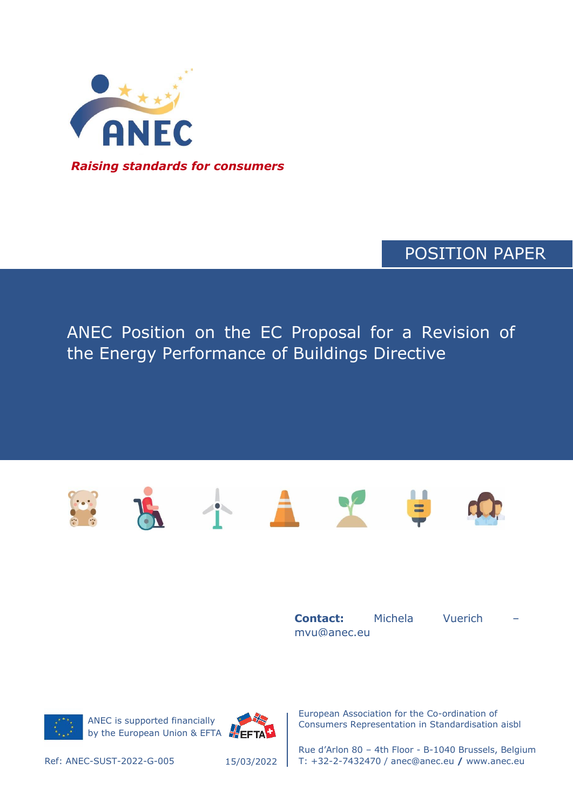

POSITION PAPER

# ANEC Position on the EC Proposal for a Revision of the Energy Performance of Buildings Directive



**Contact:** Michela Vuerich – mvu@anec.eu



ANEC is supported financially by the European Union & EFTA EFTA<sup>1</sup>



European Association for the Co-ordination of Consumers Representation in Standardisation aisbl

15/03/2022

Rue d'Arlon 80 – 4th Floor - B-1040 Brussels, Belgium Ref: ANEC-SUST-2022-G-005 T: +32-2-7432470 / anec@anec.eu **/** www.anec.eu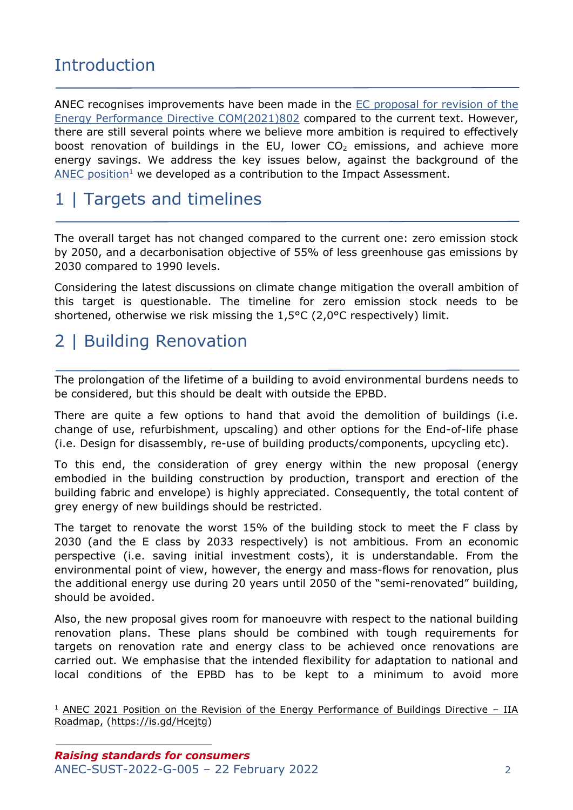## Introduction

ANEC recognises improvements have been made in the EC [proposal for revision of the](https://ec.europa.eu/info/law/better-regulation/have-your-say/initiatives/12910-Energy-efficiency-Revision-of-the-Energy-Performance-of-Buildings-Directive_en)  [Energy Performance Directive COM\(2021\)802](https://ec.europa.eu/info/law/better-regulation/have-your-say/initiatives/12910-Energy-efficiency-Revision-of-the-Energy-Performance-of-Buildings-Directive_en) compared to the current text. However, there are still several points where we believe more ambition is required to effectively boost renovation of buildings in the EU, lower  $CO<sub>2</sub>$  emissions, and achieve more energy savings. We address the key issues below, against the background of the ANEC [position](https://www.anec.eu/publications/position-papers/857-anec-contribution-to-the-ec-iia-roadmap-for-a-legislative-proposal-o-n-substantiating-green-claims)<sup>1</sup> we developed as a contribution to the Impact Assessment.

## 1 | Targets and timelines

The overall target has not changed compared to the current one: zero emission stock by 2050, and a decarbonisation objective of 55% of less greenhouse gas emissions by 2030 compared to 1990 levels.

Considering the latest discussions on climate change mitigation the overall ambition of this target is questionable. The timeline for zero emission stock needs to be shortened, otherwise we risk missing the 1,5°C (2,0°C respectively) limit.

## 2 | Building Renovation

The prolongation of the lifetime of a building to avoid environmental burdens needs to be considered, but this should be dealt with outside the EPBD.

There are quite a few options to hand that avoid the demolition of buildings (i.e. change of use, refurbishment, upscaling) and other options for the End-of-life phase (i.e. Design for disassembly, re-use of building products/components, upcycling etc).

To this end, the consideration of grey energy within the new proposal (energy embodied in the building construction by production, transport and erection of the building fabric and envelope) is highly appreciated. Consequently, the total content of grey energy of new buildings should be restricted.

The target to renovate the worst 15% of the building stock to meet the F class by 2030 (and the E class by 2033 respectively) is not ambitious. From an economic perspective (i.e. saving initial investment costs), it is understandable. From the environmental point of view, however, the energy and mass-flows for renovation, plus the additional energy use during 20 years until 2050 of the "semi-renovated" building, should be avoided.

Also, the new proposal gives room for manoeuvre with respect to the national building renovation plans. These plans should be combined with tough requirements for targets on renovation rate and energy class to be achieved once renovations are carried out. We emphasise that the intended flexibility for adaptation to national and local conditions of the EPBD has to be kept to a minimum to avoid more

<sup>1</sup> [ANEC 2021 Position on the Revision of the Energy Performance of Buildings Directive](https://www.anec.eu/images/Publications/position-papers/Sustainability/ANEC-SUST-2021-G-012.pdf) - IIA [Roadmap,](https://www.anec.eu/images/Publications/position-papers/Sustainability/ANEC-SUST-2021-G-012.pdf) [\(https://is.gd/Hcejtg\)](https://is.gd/Hcejtg)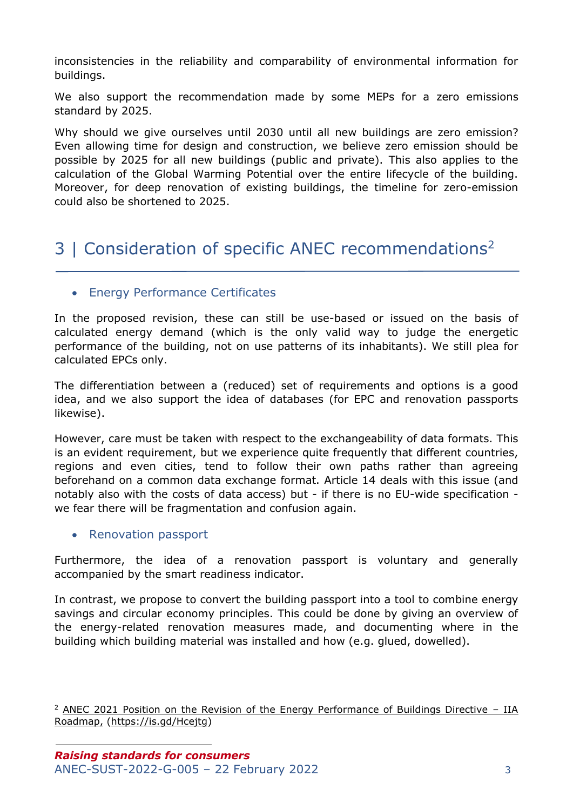inconsistencies in the reliability and comparability of environmental information for buildings.

We also support the recommendation made by some MEPs for a zero emissions standard by 2025.

Why should we give ourselves until 2030 until all new buildings are zero emission? Even allowing time for design and construction, we believe zero emission should be possible by 2025 for all new buildings (public and private). This also applies to the calculation of the Global Warming Potential over the entire lifecycle of the building. Moreover, for deep renovation of existing buildings, the timeline for zero-emission could also be shortened to 2025.

## 3 | Consideration of specific ANEC recommendations<sup>2</sup>

#### • Energy Performance Certificates

In the proposed revision, these can still be use-based or issued on the basis of calculated energy demand (which is the only valid way to judge the energetic performance of the building, not on use patterns of its inhabitants). We still plea for calculated EPCs only.

The differentiation between a (reduced) set of requirements and options is a good idea, and we also support the idea of databases (for EPC and renovation passports likewise).

However, care must be taken with respect to the exchangeability of data formats. This is an evident requirement, but we experience quite frequently that different countries, regions and even cities, tend to follow their own paths rather than agreeing beforehand on a common data exchange format. Article 14 deals with this issue (and notably also with the costs of data access) but - if there is no EU-wide specification we fear there will be fragmentation and confusion again.

#### • Renovation passport

Furthermore, the idea of a renovation passport is voluntary and generally accompanied by the smart readiness indicator.

In contrast, we propose to convert the building passport into a tool to combine energy savings and circular economy principles. This could be done by giving an overview of the energy-related renovation measures made, and documenting where in the building which building material was installed and how (e.g. glued, dowelled).

<sup>2</sup> [ANEC 2021 Position on the Revision of the Energy Performance of Buildings Directive](https://www.anec.eu/images/Publications/position-papers/Sustainability/ANEC-SUST-2021-G-012.pdf) – IIA [Roadmap,](https://www.anec.eu/images/Publications/position-papers/Sustainability/ANEC-SUST-2021-G-012.pdf) [\(https://is.gd/Hcejtg\)](https://is.gd/Hcejtg)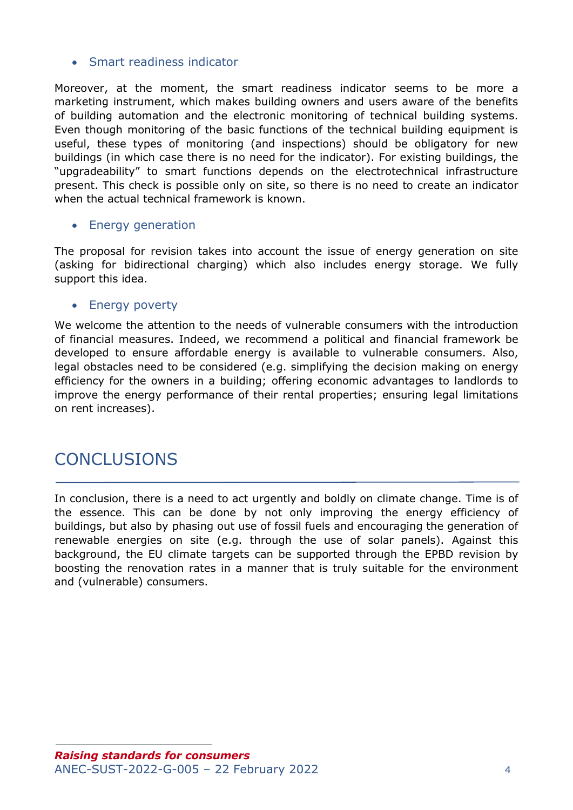### • Smart readiness indicator

Moreover, at the moment, the smart readiness indicator seems to be more a marketing instrument, which makes building owners and users aware of the benefits of building automation and the electronic monitoring of technical building systems. Even though monitoring of the basic functions of the technical building equipment is useful, these types of monitoring (and inspections) should be obligatory for new buildings (in which case there is no need for the indicator). For existing buildings, the "upgradeability" to smart functions depends on the electrotechnical infrastructure present. This check is possible only on site, so there is no need to create an indicator when the actual technical framework is known.

#### • Energy generation

The proposal for revision takes into account the issue of energy generation on site (asking for bidirectional charging) which also includes energy storage. We fully support this idea.

#### • Energy poverty

We welcome the attention to the needs of vulnerable consumers with the introduction of financial measures. Indeed, we recommend a political and financial framework be developed to ensure affordable energy is available to vulnerable consumers. Also, legal obstacles need to be considered (e.g. simplifying the decision making on energy efficiency for the owners in a building; offering economic advantages to landlords to improve the energy performance of their rental properties; ensuring legal limitations on rent increases).

### **CONCLUSIONS**

In conclusion, there is a need to act urgently and boldly on climate change. Time is of the essence. This can be done by not only improving the energy efficiency of buildings, but also by phasing out use of fossil fuels and encouraging the generation of renewable energies on site (e.g. through the use of solar panels). Against this background, the EU climate targets can be supported through the EPBD revision by boosting the renovation rates in a manner that is truly suitable for the environment and (vulnerable) consumers.